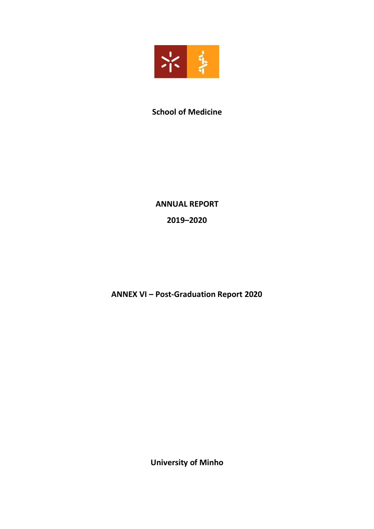

# **School of Medicine**

# **ANNUAL REPORT**

**2019–2020**

**ANNEX VI – Post-Graduation Report 2020**

**University of Minho**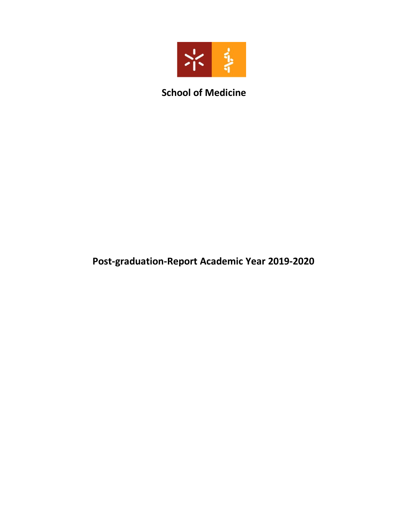

# **School of Medicine**

# **Post-graduation-Report Academic Year 2019-2020**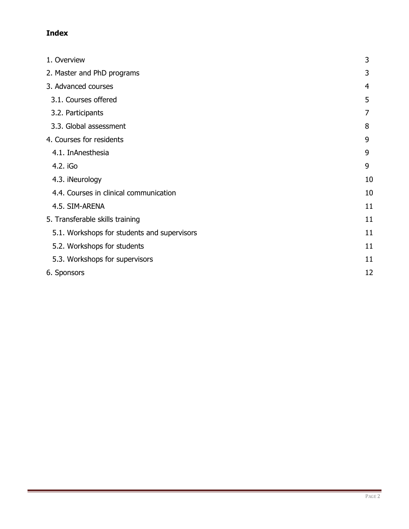# **Index**

| 1. Overview                                 | 3  |
|---------------------------------------------|----|
| 2. Master and PhD programs                  | 3  |
| 3. Advanced courses                         | 4  |
| 3.1. Courses offered                        | 5  |
| 3.2. Participants                           | 7  |
| 3.3. Global assessment                      | 8  |
| 4. Courses for residents                    | 9  |
| 4.1. InAnesthesia                           | 9  |
| 4.2. iGo                                    | 9  |
| 4.3. iNeurology                             | 10 |
| 4.4. Courses in clinical communication      | 10 |
| 4.5. SIM-ARENA                              | 11 |
| 5. Transferable skills training             | 11 |
| 5.1. Workshops for students and supervisors | 11 |
| 5.2. Workshops for students                 | 11 |
| 5.3. Workshops for supervisors              | 11 |
| 6. Sponsors                                 | 12 |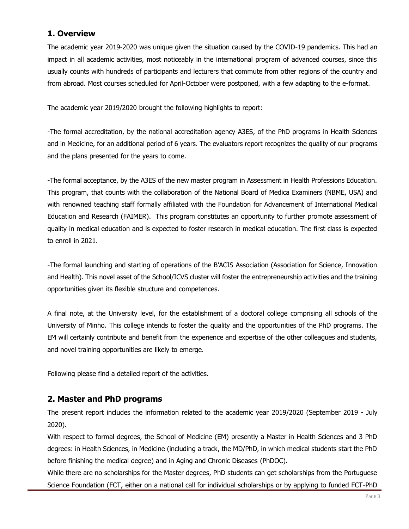# **1. Overview**

The academic year 2019-2020 was unique given the situation caused by the COVID-19 pandemics. This had an impact in all academic activities, most noticeably in the international program of advanced courses, since this usually counts with hundreds of participants and lecturers that commute from other regions of the country and from abroad. Most courses scheduled for April-October were postponed, with a few adapting to the e-format.

The academic year 2019/2020 brought the following highlights to report:

-The formal accreditation, by the national accreditation agency A3ES, of the PhD programs in Health Sciences and in Medicine, for an additional period of 6 years. The evaluators report recognizes the quality of our programs and the plans presented for the years to come.

-The formal acceptance, by the A3ES of the new master program in Assessment in Health Professions Education. This program, that counts with the collaboration of the National Board of Medica Examiners (NBME, USA) and with renowned teaching staff formally affiliated with the Foundation for Advancement of International Medical Education and Research (FAIMER). This program constitutes an opportunity to further promote assessment of quality in medical education and is expected to foster research in medical education. The first class is expected to enroll in 2021.

-The formal launching and starting of operations of the B'ACIS Association (Association for Science, Innovation and Health). This novel asset of the School/ICVS cluster will foster the entrepreneurship activities and the training opportunities given its flexible structure and competences.

A final note, at the University level, for the establishment of a doctoral college comprising all schools of the University of Minho. This college intends to foster the quality and the opportunities of the PhD programs. The EM will certainly contribute and benefit from the experience and expertise of the other colleagues and students, and novel training opportunities are likely to emerge.

Following please find a detailed report of the activities.

# **2. Master and PhD programs**

The present report includes the information related to the academic year 2019/2020 (September 2019 - July 2020).

With respect to formal degrees, the School of Medicine (EM) presently a Master in Health Sciences and 3 PhD degrees: in Health Sciences, in Medicine (including a track, the MD/PhD, in which medical students start the PhD before finishing the medical degree) and in Aging and Chronic Diseases (PhDOC).

While there are no scholarships for the Master degrees, PhD students can get scholarships from the Portuguese Science Foundation (FCT, either on a national call for individual scholarships or by applying to funded FCT-PhD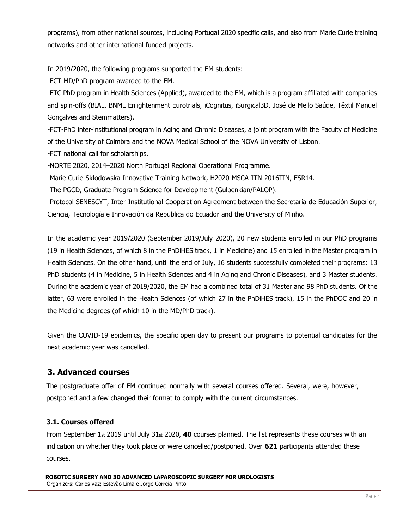programs), from other national sources, including Portugal 2020 specific calls, and also from Marie Curie training networks and other international funded projects.

In 2019/2020, the following programs supported the EM students:

-FCT MD/PhD program awarded to the EM.

-FTC PhD program in Health Sciences (Applied), awarded to the EM, which is a program affiliated with companies and spin-offs (BIAL, BNML Enlightenment Eurotrials, iCognitus, iSurgical3D, José de Mello Saúde, Têxtil Manuel Gonçalves and Stemmatters).

-FCT-PhD inter-institutional program in Aging and Chronic Diseases, a joint program with the Faculty of Medicine of the University of Coimbra and the NOVA Medical School of the NOVA University of Lisbon.

-FCT national call for scholarships.

-NORTE 2020, 2014-2020 North Portugal Regional Operational Programme.

-Marie Curie-Skłodowska Innovative Training Network, H2020-MSCA-ITN-2016ITN, ESR14.

-The PGCD, Graduate Program Science for Development (Gulbenkian/PALOP).

-Protocol SENESCYT, Inter-Institutional Cooperation Agreement between the Secretaría de Educación Superior, Ciencia, Tecnología e Innovación da Republica do Ecuador and the University of Minho.

In the academic year 2019/2020 (September 2019/July 2020), 20 new students enrolled in our PhD programs (19 in Health Sciences, of which 8 in the PhDiHES track, 1 in Medicine) and 15 enrolled in the Master program in Health Sciences. On the other hand, until the end of July, 16 students successfully completed their programs: 13 PhD students (4 in Medicine, 5 in Health Sciences and 4 in Aging and Chronic Diseases), and 3 Master students. During the academic year of 2019/2020, the EM had a combined total of 31 Master and 98 PhD students. Of the latter, 63 were enrolled in the Health Sciences (of which 27 in the PhDiHES track), 15 in the PhDOC and 20 in the Medicine degrees (of which 10 in the MD/PhD track).

Given the COVID-19 epidemics, the specific open day to present our programs to potential candidates for the next academic year was cancelled.

# **3. Advanced courses**

The postgraduate offer of EM continued normally with several courses offered. Several, were, however, postponed and a few changed their format to comply with the current circumstances.

# **3.1. Courses offered**

From September 1st 2019 until July 31st 2020, **40** courses planned. The list represents these courses with an indication on whether they took place or were cancelled/postponed. Over **621** participants attended these courses.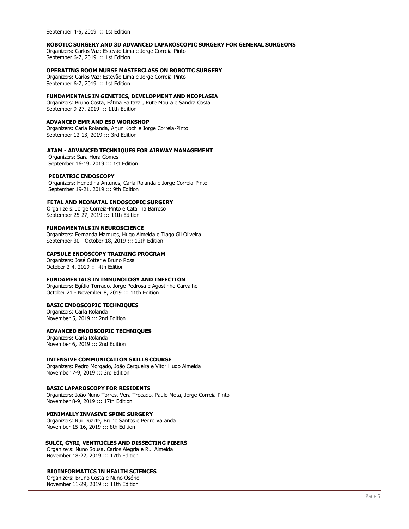September 4-5, 2019 ::: 1st Edition

#### **ROBOTIC SURGERY AND 3D ADVANCED LAPAROSCOPIC SURGERY FOR GENERAL SURGEONS**

Organizers: Carlos Vaz; Estevão Lima e Jorge Correia-Pinto September 6-7, 2019 ::: 1st Edition

#### **OPERATING ROOM NURSE MASTERCLASS ON ROBOTIC SURGERY**

Organizers: Carlos Vaz; Estevão Lima e Jorge Correia-Pinto September 6-7, 2019 ::: 1st Edition

#### **FUNDAMENTALS IN GENETICS, DEVELOPMENT AND NEOPLASIA**

Organizers: Bruno Costa, Fátma Baltazar, Rute Moura e Sandra Costa September 9-27, 2019 ::: 11th Edition

#### **ADVANCED EMR AND ESD WORKSHOP**

Organizers: Carla Rolanda, Arjun Koch e Jorge Correia-Pinto September 12-13, 2019 ::: 3rd Edition

#### **ATAM - ADVANCED TECHNIQUES FOR AIRWAY MANAGEMENT**

 Organizers: Sara Hora Gomes September 16-19, 2019 ::: 1st Edition

#### **PEDIATRIC ENDOSCOPY**

 Organizers: Henedina Antunes, Carla Rolanda e Jorge Correia-Pinto September 19-21, 2019 ::: 9th Edition

#### **FETAL AND NEONATAL ENDOSCOPIC SURGERY**

 Organizers: Jorge Correia-Pinto e Catarina Barroso September 25-27, 2019 ::: 11th Edition

#### **FUNDAMENTALS IN NEUROSCIENCE**

Organizers: Fernanda Marques, Hugo Almeida e Tiago Gil Oliveira September 30 - October 18, 2019 ::: 12th Edition

#### **CAPSULE ENDOSCOPY TRAINING PROGRAM**

Organizers: José Cotter e Bruno Rosa October 2-4, 2019 ::: 4th Edition

#### **FUNDAMENTALS IN IMMUNOLOGY AND INFECTION**

Organizers: Egídio Torrado, Jorge Pedrosa e Agostinho Carvalho October 21 - November 8, 2019 ::: 11th Edition

#### **BASIC ENDOSCOPIC TECHNIQUES**

Organizers: Carla Rolanda November 5, 2019 ::: 2nd Edition

#### **ADVANCED ENDOSCOPIC TECHNIQUES**

Organizers: Carla Rolanda November 6, 2019 ::: 2nd Edition

#### **INTENSIVE COMMUNICATION SKILLS COURSE**

Organizers: Pedro Morgado, João Cerqueira e Vitor Hugo Almeida November 7-9, 2019 ::: 3rd Edition

#### **BASIC LAPAROSCOPY FOR RESIDENTS**

Organizers: João Nuno Torres, Vera Trocado, Paulo Mota, Jorge Correia-Pinto November 8-9, 2019 ::: 17th Edition

#### **MINIMALLY INVASIVE SPINE SURGERY**

Organizers: Rui Duarte, Bruno Santos e Pedro Varanda November 15-16, 2019 ::: 8th Edition

#### **SULCI, GYRI, VENTRICLES AND DISSECTING FIBERS**

 Organizers: Nuno Sousa, Carlos Alegria e Rui Almeida November 18-22, 2019 ::: 17th Edition

#### **BIOINFORMATICS IN HEALTH SCIENCES**

 Organizers: Bruno Costa e Nuno Osório November 11-29, 2019 ::: 11th Edition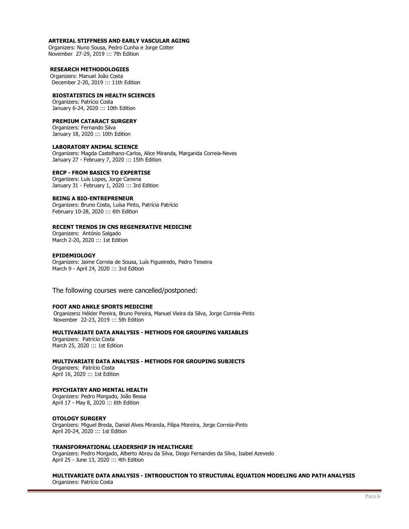#### **ARTERIAL STIFFNESS AND EARLY VASCULAR AGING**

 Organizers: Nuno Sousa, Pedro Cunha e Jorge Cotter November 27-29, 2019 ::: 7th Edition

#### **RESEARCH METHODOLOGIES**

Organizers: Manuel João Costa December 2-20, 2019 ::: 11th Edition

#### **BIOSTATISTICS IN HEALTH SCIENCES**

Organizers: Patrício Costa January 6-24, 2020 ::: 10th Edition

#### **PREMIUM CATARACT SURGERY**

Organizers: Fernando Silva January 18, 2020 ::: 10th Edition

#### **LABORATORY ANIMAL SCIENCE**

Organizers: Magda Castelhano-Carlos, Alice Miranda, Margarida Correia-Neves January 27 - February 7, 2020 ::: 15th Edition

#### **ERCP - FROM BASICS TO EXPERTISE**

Organizers: Luis Lopes, Jorge Canena January 31 - February 1, 2020 ::: 3rd Edition

#### **BEING A BIO-ENTREPRENEUR**

Organizers: Bruno Costa, Luísa Pinto, Patrícia Patrício February 10-28, 2020 ::: 6th Edition

#### **RECENT TRENDS IN CNS REGENERATIVE MEDICINE**

Organizers: António Salgado March 2-20, 2020 ::: 1st Edition

#### **EPIDEMIOLOGY**

Organizers: Jaime Correia de Sousa, Luís Figueiredo, Pedro Teixeira March 9 - April 24, 2020 ::: 3rd Edition

The following courses were cancelled/postponed:

#### **FOOT AND ANKLE SPORTS MEDICINE**

 Organizers**:** Hélder Pereira, Bruno Pereira, Manuel Vieira da Silva, Jorge Correia-Pinto November 22-23, 2019 ::: 5th Edition

#### **MULTIVARIATE DATA ANALYSIS - METHODS FOR GROUPING VARIABLES**

Organizers: Patrício Costa March 25, 2020 ::: 1st Edition

#### **MULTIVARIATE DATA ANALYSIS - METHODS FOR GROUPING SUBJECTS**

Organizers: Patrício Costa April 16, 2020 ::: 1st Edition

#### **PSYCHIATRY AND MENTAL HEALTH**

Organizers: Pedro Morgado, João Bessa April 17 - May 8, 2020 ::: 6th Edition

#### **OTOLOGY SURGERY**

Organizers: Miguel Breda, Daniel Alves Miranda, Filipa Moreira, Jorge Correia-Pinto April 20-24, 2020 ::: 1st Edition

#### **TRANSFORMATIONAL LEADERSHIP IN HEALTHCARE**

Organizers: Pedro Morgado, Alberto Abreu da Silva, Diogo Fernandes da Silva, Isabel Azevedo April 25 - June 13, 2020 ::: 4th Edition

#### **MULTIVARIATE DATA ANALYSIS - INTRODUCTION TO STRUCTURAL EQUATION MODELING AND PATH ANALYSIS**  Organizers: Patrício Costa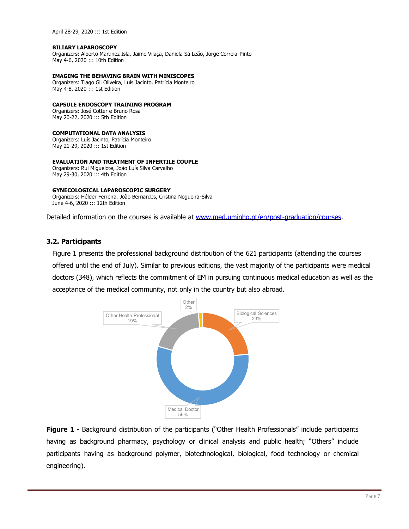#### **BILIARY LAPAROSCOPY**

Organizers: Alberto Martinez Isla, Jaime Vilaça, Daniela Sá Leão, Jorge Correia-Pinto May 4-6, 2020 ::: 10th Edition

#### **IMAGING THE BEHAVING BRAIN WITH MINISCOPES**

Organizers: Tiago Gil Oliveira, Luís Jacinto, Patrícia Monteiro May 4-8, 2020 ::: 1st Edition

#### **CAPSULE ENDOSCOPY TRAINING PROGRAM**

Organizers: José Cotter e Bruno Rosa May 20-22, 2020 ::: 5th Edition

#### **COMPUTATIONAL DATA ANALYSIS**

Organizers: Luís Jacinto, Patrícia Monteiro May 21-29, 2020 ::: 1st Edition

#### **EVALUATION AND TREATMENT OF INFERTILE COUPLE**

Organizers: Rui Miguelote, João Luís Silva Carvalho May 29-30, 2020 ::: 4th Edition

#### **GYNECOLOGICAL LAPAROSCOPIC SURGERY**

Organizers: Hélder Ferreira, João Bernardes, Cristina Nogueira-Silva June 4-6, 2020 ::: 12th Edition

Detailed information on the courses is available at [www.med.uminho.pt/en/post-graduation/courses.](http://www.med.uminho.pt/en/post-graduation/courses)

#### **3.2. Participants**

Figure 1 presents the professional background distribution of the 621 participants (attending the courses offered until the end of July). Similar to previous editions, the vast majority of the participants were medical doctors (348), which reflects the commitment of EM in pursuing continuous medical education as well as the acceptance of the medical community, not only in the country but also abroad.



**Figure 1** - Background distribution of the participants ("Other Health Professionals" include participants having as background pharmacy, psychology or clinical analysis and public health; "Others" include participants having as background polymer, biotechnological, biological, food technology or chemical engineering).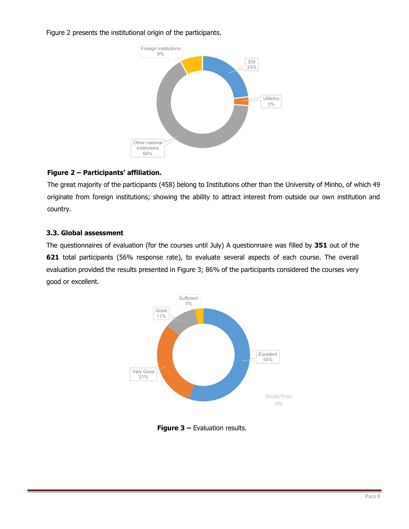Figure 2 presents the institutional origin of the participants.



# **Figure 2 – Participants' affiliation.**

The great majority of the participants (458) belong to Institutions other than the University of Minho, of which 49 originate from foreign institutions; showing the ability to attract interest from outside our own institution and country.

## **3.3. Global assessment**

The questionnaires of evaluation (for the courses until July) A questionnaire was filled by **351** out of the **621** total participants (56% response rate), to evaluate several aspects of each course. The overall evaluation provided the results presented in Figure 3; 86% of the participants considered the courses very good or excellent.



**Figure 3 –** Evaluation results.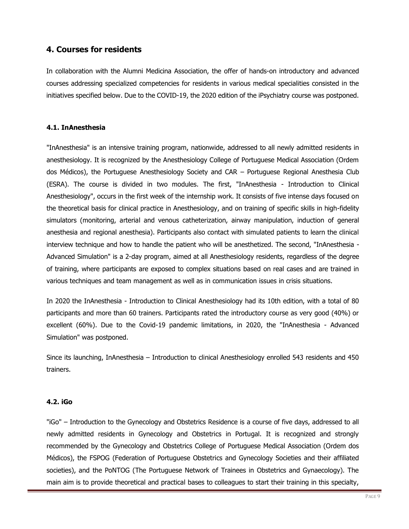# **4. Courses for residents**

In collaboration with the Alumni Medicina Association, the offer of hands-on introductory and advanced courses addressing specialized competencies for residents in various medical specialities consisted in the initiatives specified below. Due to the COVID-19, the 2020 edition of the iPsychiatry course was postponed.

### **4.1. InAnesthesia**

"InAnesthesia" is an intensive training program, nationwide, addressed to all newly admitted residents in anesthesiology. It is recognized by the Anesthesiology College of Portuguese Medical Association (Ordem dos Médicos), the Portuguese Anesthesiology Society and CAR - Portuguese Regional Anesthesia Club (ESRA). The course is divided in two modules. The first, "InAnesthesia - Introduction to Clinical Anesthesiology", occurs in the first week of the internship work. It consists of five intense days focused on the theoretical basis for clinical practice in Anesthesiology, and on training of specific skills in high-fidelity simulators (monitoring, arterial and venous catheterization, airway manipulation, induction of general anesthesia and regional anesthesia). Participants also contact with simulated patients to learn the clinical interview technique and how to handle the patient who will be anesthetized. The second, "InAnesthesia - Advanced Simulation" is a 2-day program, aimed at all Anesthesiology residents, regardless of the degree of training, where participants are exposed to complex situations based on real cases and are trained in various techniques and team management as well as in communication issues in crisis situations.

In 2020 the InAnesthesia - Introduction to Clinical Anesthesiology had its 10th edition, with a total of 80 participants and more than 60 trainers. Participants rated the introductory course as very good (40%) or excellent (60%). Due to the Covid-19 pandemic limitations, in 2020, the "InAnesthesia - Advanced Simulation" was postponed.

Since its launching, InAnesthesia  $-$  Introduction to clinical Anesthesiology enrolled 543 residents and 450 trainers.

### **4.2. iGo**

"iGo" - Introduction to the Gynecology and Obstetrics Residence is a course of five days, addressed to all newly admitted residents in Gynecology and Obstetrics in Portugal. It is recognized and strongly recommended by the Gynecology and Obstetrics College of Portuguese Medical Association (Ordem dos Médicos), the FSPOG (Federation of Portuguese Obstetrics and Gynecology Societies and their affiliated societies), and the PoNTOG (The Portuguese Network of Trainees in Obstetrics and Gynaecology). The main aim is to provide theoretical and practical bases to colleagues to start their training in this specialty,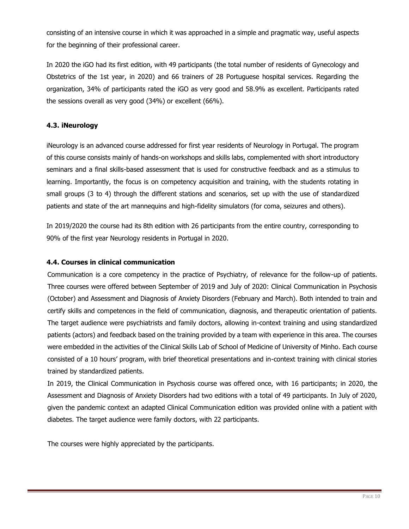consisting of an intensive course in which it was approached in a simple and pragmatic way, useful aspects for the beginning of their professional career.

In 2020 the iGO had its first edition, with 49 participants (the total number of residents of Gynecology and Obstetrics of the 1st year, in 2020) and 66 trainers of 28 Portuguese hospital services. Regarding the organization, 34% of participants rated the iGO as very good and 58.9% as excellent. Participants rated the sessions overall as very good (34%) or excellent (66%).

### **4.3. iNeurology**

iNeurology is an advanced course addressed for first year residents of Neurology in Portugal. The program of this course consists mainly of hands-on workshops and skills labs, complemented with short introductory seminars and a final skills-based assessment that is used for constructive feedback and as a stimulus to learning. Importantly, the focus is on competency acquisition and training, with the students rotating in small groups (3 to 4) through the different stations and scenarios, set up with the use of standardized patients and state of the art mannequins and high-fidelity simulators (for coma, seizures and others).

In 2019/2020 the course had its 8th edition with 26 participants from the entire country, corresponding to 90% of the first year Neurology residents in Portugal in 2020.

### **4.4. Courses in clinical communication**

Communication is a core competency in the practice of Psychiatry, of relevance for the follow-up of patients. Three courses were offered between September of 2019 and July of 2020: Clinical Communication in Psychosis (October) and Assessment and Diagnosis of Anxiety Disorders (February and March). Both intended to train and certify skills and competences in the field of communication, diagnosis, and therapeutic orientation of patients. The target audience were psychiatrists and family doctors, allowing in-context training and using standardized patients (actors) and feedback based on the training provided by a team with experience in this area. The courses were embedded in the activities of the Clinical Skills Lab of School of Medicine of University of Minho. Each course consisted of a 10 hours' program, with brief theoretical presentations and in-context training with clinical stories trained by standardized patients.

In 2019, the Clinical Communication in Psychosis course was offered once, with 16 participants; in 2020, the Assessment and Diagnosis of Anxiety Disorders had two editions with a total of 49 participants. In July of 2020, given the pandemic context an adapted Clinical Communication edition was provided online with a patient with diabetes. The target audience were family doctors, with 22 participants.

The courses were highly appreciated by the participants.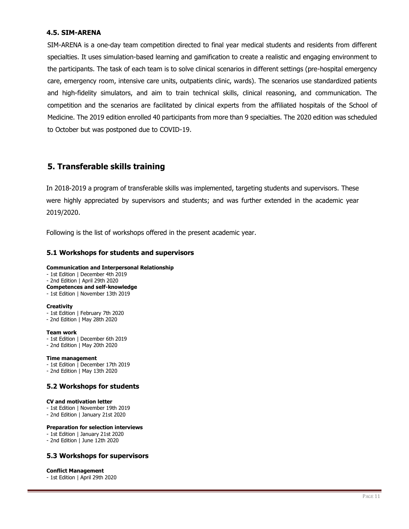### **4.5. SIM-ARENA**

SIM-ARENA is a one-day team competition directed to final year medical students and residents from different specialties. It uses simulation-based learning and gamification to create a realistic and engaging environment to the participants. The task of each team is to solve clinical scenarios in different settings (pre-hospital emergency care, emergency room, intensive care units, outpatients clinic, wards). The scenarios use standardized patients and high-fidelity simulators, and aim to train technical skills, clinical reasoning, and communication. The competition and the scenarios are facilitated by clinical experts from the affiliated hospitals of the School of Medicine. The 2019 edition enrolled 40 participants from more than 9 specialties. The 2020 edition was scheduled to October but was postponed due to COVID-19.

# **5. Transferable skills training**

In 2018-2019 a program of transferable skills was implemented, targeting students and supervisors. These were highly appreciated by supervisors and students; and was further extended in the academic year 2019/2020.

Following is the list of workshops offered in the present academic year.

### **5.1 Workshops for students and supervisors**

#### **Communication and Interpersonal Relationship**

- 1st Edition | December 4th 2019
- 2nd Edition | April 29th 2020
- **Competences and self-knowledge**
- 1st Edition | November 13th 2019

#### **Creativity**

- 1st Edition | February 7th 2020
- 2nd Edition | May 28th 2020

#### **Team work**

- 1st Edition | December 6th 2019
- 2nd Edition | May 20th 2020

#### **Time management**

- 1st Edition | December 17th 2019
- 2nd Edition | May 13th 2020

### **5.2 Workshops for students**

#### **CV and motivation letter**

- 1st Edition | November 19th 2019
- 2nd Edition | January 21st 2020

#### **Preparation for selection interviews**

- 1st Edition | January 21st 2020
- 2nd Edition | June 12th 2020

### **5.3 Workshops for supervisors**

#### **Conflict Management**

- 1st Edition | April 29th 2020